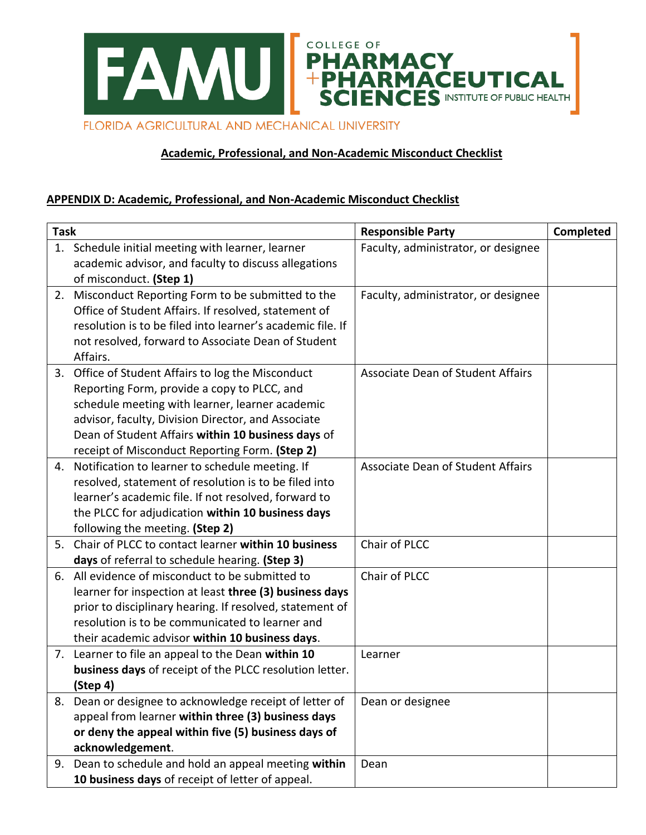

## **Academic, Professional, and Non-Academic Misconduct Checklist**

## **APPENDIX D: Academic, Professional, and Non-Academic Misconduct Checklist**

| <b>Task</b> |                                                            | <b>Responsible Party</b>                 | Completed |
|-------------|------------------------------------------------------------|------------------------------------------|-----------|
|             | 1. Schedule initial meeting with learner, learner          | Faculty, administrator, or designee      |           |
|             | academic advisor, and faculty to discuss allegations       |                                          |           |
|             | of misconduct. (Step 1)                                    |                                          |           |
| 2.          | Misconduct Reporting Form to be submitted to the           | Faculty, administrator, or designee      |           |
|             | Office of Student Affairs. If resolved, statement of       |                                          |           |
|             | resolution is to be filed into learner's academic file. If |                                          |           |
|             | not resolved, forward to Associate Dean of Student         |                                          |           |
|             | Affairs.                                                   |                                          |           |
| 3.          | Office of Student Affairs to log the Misconduct            | <b>Associate Dean of Student Affairs</b> |           |
|             | Reporting Form, provide a copy to PLCC, and                |                                          |           |
|             | schedule meeting with learner, learner academic            |                                          |           |
|             | advisor, faculty, Division Director, and Associate         |                                          |           |
|             | Dean of Student Affairs within 10 business days of         |                                          |           |
|             | receipt of Misconduct Reporting Form. (Step 2)             |                                          |           |
| 4.          | Notification to learner to schedule meeting. If            | <b>Associate Dean of Student Affairs</b> |           |
|             | resolved, statement of resolution is to be filed into      |                                          |           |
|             | learner's academic file. If not resolved, forward to       |                                          |           |
|             | the PLCC for adjudication within 10 business days          |                                          |           |
|             | following the meeting. (Step 2)                            |                                          |           |
| 5.          | Chair of PLCC to contact learner within 10 business        | Chair of PLCC                            |           |
|             | days of referral to schedule hearing. (Step 3)             |                                          |           |
|             | 6. All evidence of misconduct to be submitted to           | Chair of PLCC                            |           |
|             | learner for inspection at least three (3) business days    |                                          |           |
|             | prior to disciplinary hearing. If resolved, statement of   |                                          |           |
|             | resolution is to be communicated to learner and            |                                          |           |
|             | their academic advisor within 10 business days.            |                                          |           |
| 7.          | Learner to file an appeal to the Dean within 10            | Learner                                  |           |
|             | business days of receipt of the PLCC resolution letter.    |                                          |           |
|             | (Step 4)                                                   |                                          |           |
| 8.          | Dean or designee to acknowledge receipt of letter of       | Dean or designee                         |           |
|             | appeal from learner within three (3) business days         |                                          |           |
|             | or deny the appeal within five (5) business days of        |                                          |           |
|             | acknowledgement.                                           |                                          |           |
| 9.          | Dean to schedule and hold an appeal meeting within         | Dean                                     |           |
|             | 10 business days of receipt of letter of appeal.           |                                          |           |